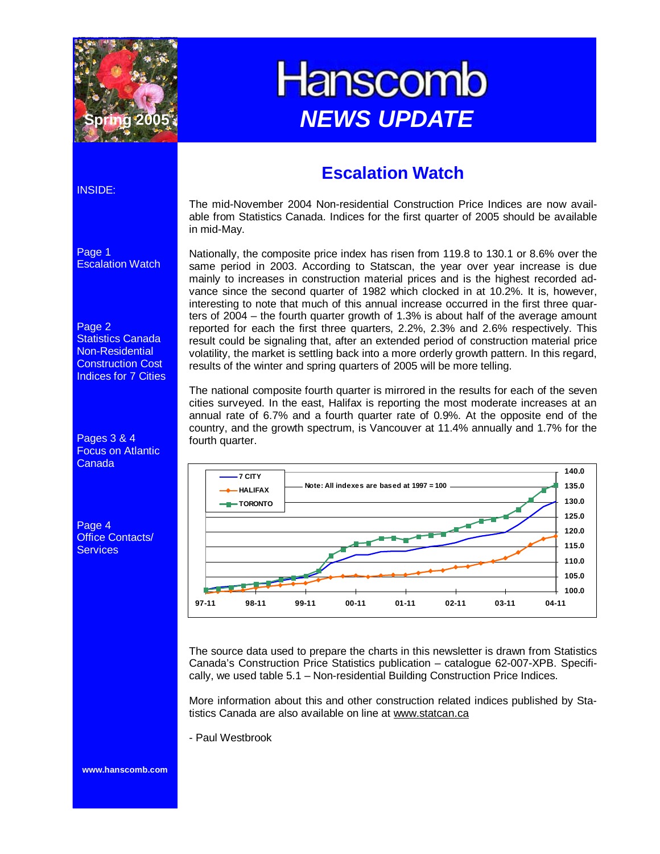

# **Hanscomb NEWS UPDATE**

### **Escalation Watch**

The mid-November 2004 Non-residential Construction Price Indices are now available from Statistics Canada. Indices for the first quarter of 2005 should be available in mid-May.

Nationally, the composite price index has risen from 119.8 to 130.1 or 8.6% over the same period in 2003. According to Statscan, the year over year increase is due mainly to increases in construction material prices and is the highest recorded advance since the second quarter of 1982 which clocked in at 10.2%. It is, however, interesting to note that much of this annual increase occurred in the first three quarters of 2004 – the fourth quarter growth of 1.3% is about half of the average amount reported for each the first three quarters, 2.2%, 2.3% and 2.6% respectively. This result could be signaling that, after an extended period of construction material price volatility, the market is settling back into a more orderly growth pattern. In this regard, results of the winter and spring quarters of 2005 will be more telling.

The national composite fourth quarter is mirrored in the results for each of the seven cities surveyed. In the east, Halifax is reporting the most moderate increases at an annual rate of 6.7% and a fourth quarter rate of 0.9%. At the opposite end of the country, and the growth spectrum, is Vancouver at 11.4% annually and 1.7% for the fourth quarter.



The source data used to prepare the charts in this newsletter is drawn from Statistics Canada's Construction Price Statistics publication – catalogue 62-007-XPB. Specifically, we used table 5.1 – Non-residential Building Construction Price Indices.

More information about this and other construction related indices published by Statistics Canada are also available on line at www.statcan.ca

- Paul Westbrook

INSIDE:

Page 1 Escalation Watch

#### Page 2

Statistics Canada Non-Residential Construction Cost Indices for 7 Cities

Pages 3 & 4 Focus on Atlantic Canada

Page 4 Office Contacts/ **Services** 

**www.hanscomb.com**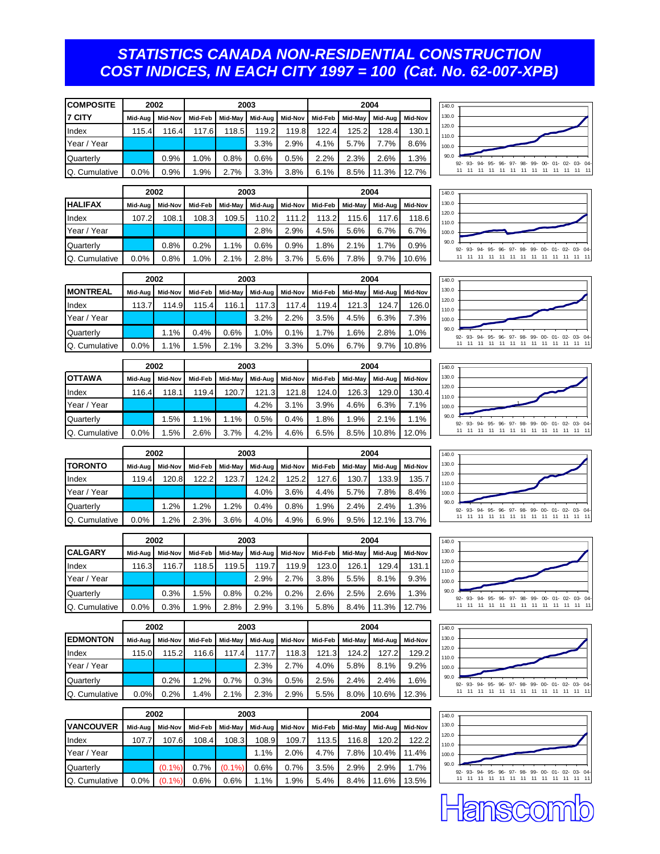#### *STATISTICS CANADA NON-RESIDENTIAL CONSTRUCTION COST INDICES, IN EACH CITY 1997 = 100 (Cat. No. 62-007-XPB)*

| <b>COMPOSITE</b> |         | 2002    |         |         | 2003    |         | 2004    |         |         |         |
|------------------|---------|---------|---------|---------|---------|---------|---------|---------|---------|---------|
| <b>17 CITY</b>   | Mid-Aua | Mid-Nov | Mid-Feb | Mid-May | Mid-Aug | Mid-Nov | Mid-Feb | Mid-May | Mid-Aua | Mid-Nov |
| Index            | 115.4   | 116.4   | 117.6   | 118.5   | 119.2   | 119.8   | 122.4   | 125.2   | 128.4   | 130.1   |
| Year / Year      |         |         |         |         | 3.3%    | 2.9%    | 4.1%    | 5.7%    | 7.7%    | 8.6%    |
| Quarterly        |         | 0.9%    | 1.0%    | 0.8%    | 0.6%    | 0.5%    | 2.2%    | 2.3%    | 2.6%    | 1.3%    |
| Q. Cumulative    | 0.0%    | 0.9%    | 1.9%    | 2.7%    | 3.3%    | 3.8%    | 6.1%    | 8.5%    | 11.3%   | 12.7%   |

|                |         | 2002           | 2003    |         |         |         | 2004    |         |         |         |
|----------------|---------|----------------|---------|---------|---------|---------|---------|---------|---------|---------|
| <b>HALIFAX</b> | Mid-Aug | <b>Mid-Nov</b> | Mid-Feb | Mid-May | Mid-Aug | Mid-Nov | Mid-Feb | Mid-May | Mid-Aua | Mid-Nov |
| Index          | 107.2   | 108.1          | 108.3   | 109.5   | 110.2   | 111.2   | 113.2   | 115.6   | 117.6   | 118.6   |
| Year / Year    |         |                |         |         | 2.8%    | 2.9%    | 4.5%    | 5.6%    | 6.7%    | 6.7%    |
| Quarterly      |         | 0.8%           | 0.2%    | 1.1%    | 0.6%    | 0.9%    | 1.8%    | 2.1%    | 1.7%    | 0.9%    |
| Q. Cumulative  | 0.0%    | 0.8%           | 1.0%    | 2.1%    | 2.8%    | 3.7%    | 5.6%    | 7.8%    | 9.7%    | 10.6%   |





|                 |         | 2002    |         |         | 2003    |         | 2004    |         |         |         |  |
|-----------------|---------|---------|---------|---------|---------|---------|---------|---------|---------|---------|--|
| <b>MONTREAL</b> | Mid-Aua | Mid-Nov | Mid-Feb | Mid-May | Mid-Aug | Mid-Nov | Mid-Feb | Mid-May | Mid-Aug | Mid-Nov |  |
| Index           | 113.7   | 114.9   | 115.4   | 116.1   | 117.3   | 117.4   | 119.4   | 121.3   | 124.7   | 126.0   |  |
| Year / Year     |         |         |         |         | 3.2%    | 2.2%    | 3.5%    | 4.5%    | 6.3%    | 7.3%    |  |
| Quarterly       |         | 1.1%    | 0.4%    | 0.6%    | 1.0%    | 0.1%    | 1.7%    | 1.6%    | 2.8%    | 1.0%    |  |
| Q. Cumulative   | $0.0\%$ | 1.1%    | 1.5%    | 2.1%    | 3.2%    | 3.3%    | 5.0%    | 6.7%    | 9.7%    | 10.8%   |  |

|               |         | 2002<br>2003 |         |         |           |         | 2004    |         |         |         |  |
|---------------|---------|--------------|---------|---------|-----------|---------|---------|---------|---------|---------|--|
| <b>OTTAWA</b> | Mid-Aug | Mid-Nov      | Mid-Feb | Mid-May | Mid-Aua I | Mid-Nov | Mid-Feb | Mid-May | Mid-Aua | Mid-Nov |  |
| Index         | 116.4   | 118.1        | 119.4   | 120.7   | 121.3     | 121.8   | 124.0   | 126.3   | 129.0   | 130.4   |  |
| Year / Year   |         |              |         |         | 4.2%      | 3.1%    | 3.9%    | 4.6%    | 6.3%    | 7.1%    |  |
| Quarterly     |         | 1.5%         | 1.1%    | 1.1%    | 0.5%      | 0.4%    | 1.8%    | 1.9%    | 2.1%    | 1.1%    |  |
| Q. Cumulative | $0.0\%$ | 1.5%         | 2.6%    | 3.7%    | 4.2%      | 4.6%    | 6.5%    | 8.5%    | 10.8%   | 12.0%   |  |

|                |         | 2002           |         |         | 2003    |         | 2004    |         |          |         |  |
|----------------|---------|----------------|---------|---------|---------|---------|---------|---------|----------|---------|--|
| <b>TORONTO</b> | Mid-Aug | <b>Mid-Nov</b> | Mid-Feb | Mid-May | Mid-Aua | Mid-Nov | Mid-Feb | Mid-May | Mid-Aug  | Mid-Nov |  |
| Index          | 119.4   | 120.8          | 122.2   | 123.7   | 124.2   | 125.2   | 127.6   | 130.7   | 133.9    | 135.7   |  |
| Year / Year    |         |                |         |         | 4.0%    | 3.6%    | 4.4%    | 5.7%    | 7.8%     | 8.4%    |  |
| Quarterly      |         | 1.2%           | 1.2%    | 1.2%    | 0.4%    | 0.8%    | 1.9%    | 2.4%    | 2.4%     | 1.3%    |  |
| Q. Cumulative  | $0.0\%$ | 1.2%           | 2.3%    | 3.6%    | 4.0%    | 4.9%    | 6.9%    | 9.5%    | $12.1\%$ | 13.7%   |  |

|                | 2002    |         |         |         | 2003     |         | 2004    |         |         |         |
|----------------|---------|---------|---------|---------|----------|---------|---------|---------|---------|---------|
| <b>CALGARY</b> | Mid-Aua | Mid-Nov | Mid-Feb | Mid-May | Mid-Aual | Mid-Nov | Mid-Feb | Mid-May | Mid-Aua | Mid-Nov |
| Index          | 116.3   | 116.7   | 118.5   | 119.5   | 119.7    | 119.9   | 123.0   | 126.1   | 129.4   | 131.1   |
| Year / Year    |         |         |         |         | 2.9%     | 2.7%    | 3.8%    | 5.5%    | 8.1%    | 9.3%    |
| Quarterly      |         | 0.3%    | 1.5%    | 0.8%    | 0.2%     | 0.2%    | 2.6%    | 2.5%    | 2.6%    | 1.3%    |
| Q. Cumulative  | $0.0\%$ | 0.3%    | 1.9%    | 2.8%    | 2.9%     | 3.1%    | 5.8%    | 8.4%    | 11.3%   | 12.7%   |

|                 |         | 2002    | 2003    |         |         |         | 2004    |         |         |         |
|-----------------|---------|---------|---------|---------|---------|---------|---------|---------|---------|---------|
| <b>EDMONTON</b> | Mid-Aug | Mid-Nov | Mid-Feb | Mid-May | Mid-Aua | Mid-Nov | Mid-Feb | Mid-May | Mid-Aug | Mid-Nov |
| Index           | 115.0   | 115.2   | 116.6   | 117.4   | 117.7   | 118.3   | 121.3   | 124.2   | 127.2   | 129.2   |
| Year / Year     |         |         |         |         | 2.3%    | 2.7%    | 4.0%    | 5.8%    | 8.1%    | 9.2%    |
| Quarterly       |         | 0.2%    | .2%     | 0.7%    | 0.3%    | 0.5%    | 2.5%    | 2.4%    | 2.4%    | 1.6%    |
| Q. Cumulative   | 0.0%    | 0.2%    | .4%     | 2.1%    | 2.3%    | 2.9%    | 5.5%    | 8.0%    | 10.6%   | 12.3%   |

|                  |         | 2002      |         |           | 2003    |         | 2004    |         |          |         |
|------------------|---------|-----------|---------|-----------|---------|---------|---------|---------|----------|---------|
| <b>VANCOUVER</b> | Mid-Aug | Mid-Nov   | Mid-Feb | Mid-May   | Mid-Aug | Mid-Nov | Mid-Feb | Mid-May | Mid-Aual | Mid-Nov |
| Index            | 107.7   | 107.6     | 108.4   | 108.3     | 108.9   | 109.7   | 113.5   | 116.8   | 120.2    | 122.2   |
| Year / Year      |         |           |         |           | 1.1%    | 2.0%    | 4.7%    | 7.8%    | 10.4%    | 11.4%   |
| Quarterly        |         | $(0.1\%)$ | 0.7%    | $(0.1\%)$ | 0.6%    | 0.7%    | 3.5%    | 2.9%    | 2.9%     | 1.7%    |
| Q. Cumulative    | 0.0%    | $(0.1\%)$ | 0.6%    | 0.6%      | 1.1%    | 1.9%    | 5.4%    | 8.4%    | 11.6%    | 13.5%   |













ansco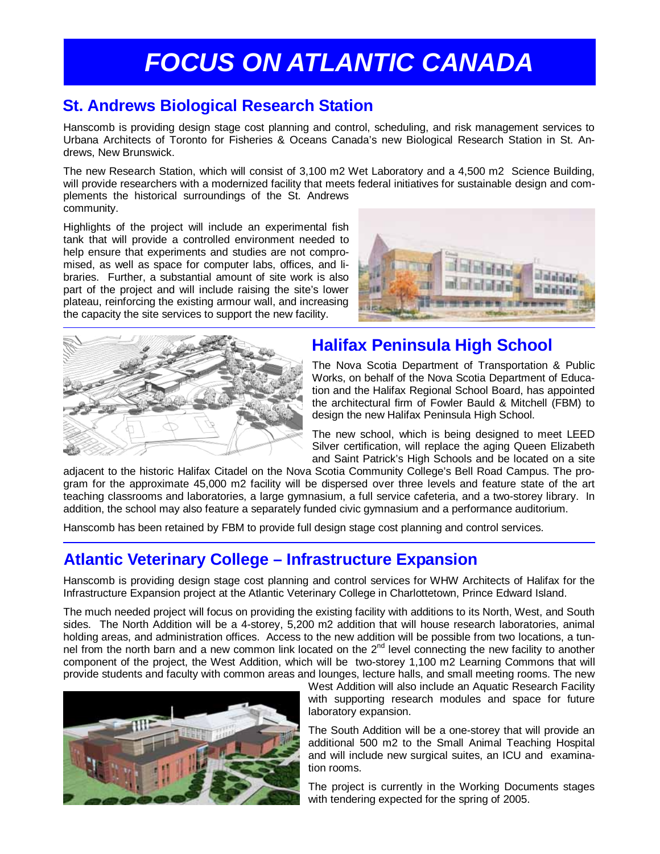## *FOCUS ON ATLANTIC CANADA*

#### **St. Andrews Biological Research Station**

Hanscomb is providing design stage cost planning and control, scheduling, and risk management services to Urbana Architects of Toronto for Fisheries & Oceans Canada's new Biological Research Station in St. Andrews, New Brunswick.

The new Research Station, which will consist of 3,100 m2 Wet Laboratory and a 4,500 m2 Science Building, will provide researchers with a modernized facility that meets federal initiatives for sustainable design and complements the historical surroundings of the St. Andrews community.

Highlights of the project will include an experimental fish tank that will provide a controlled environment needed to help ensure that experiments and studies are not compromised, as well as space for computer labs, offices, and libraries. Further, a substantial amount of site work is also part of the project and will include raising the site's lower plateau, reinforcing the existing armour wall, and increasing the capacity the site services to support the new facility.





#### **Halifax Peninsula High School**

The Nova Scotia Department of Transportation & Public Works, on behalf of the Nova Scotia Department of Education and the Halifax Regional School Board, has appointed the architectural firm of Fowler Bauld & Mitchell (FBM) to design the new Halifax Peninsula High School.

The new school, which is being designed to meet LEED Silver certification, will replace the aging Queen Elizabeth and Saint Patrick's High Schools and be located on a site

adjacent to the historic Halifax Citadel on the Nova Scotia Community College's Bell Road Campus. The program for the approximate 45,000 m2 facility will be dispersed over three levels and feature state of the art teaching classrooms and laboratories, a large gymnasium, a full service cafeteria, and a two-storey library. In addition, the school may also feature a separately funded civic gymnasium and a performance auditorium.

Hanscomb has been retained by FBM to provide full design stage cost planning and control services.

#### **Atlantic Veterinary College – Infrastructure Expansion**

Hanscomb is providing design stage cost planning and control services for WHW Architects of Halifax for the Infrastructure Expansion project at the Atlantic Veterinary College in Charlottetown, Prince Edward Island.

The much needed project will focus on providing the existing facility with additions to its North, West, and South sides. The North Addition will be a 4-storey, 5,200 m2 addition that will house research laboratories, animal holding areas, and administration offices. Access to the new addition will be possible from two locations, a tunnolding areas, and durinmolitation of the sources to the new common term of process to the 2nd level connecting the new facility to another component of the project, the West Addition, which will be two-storey 1,100 m2 Learning Commons that will provide students and faculty with common areas and lounges, lecture halls, and small meeting rooms. The new



West Addition will also include an Aquatic Research Facility with supporting research modules and space for future laboratory expansion.

The South Addition will be a one-storey that will provide an additional 500 m2 to the Small Animal Teaching Hospital and will include new surgical suites, an ICU and examination rooms.

The project is currently in the Working Documents stages with tendering expected for the spring of 2005.